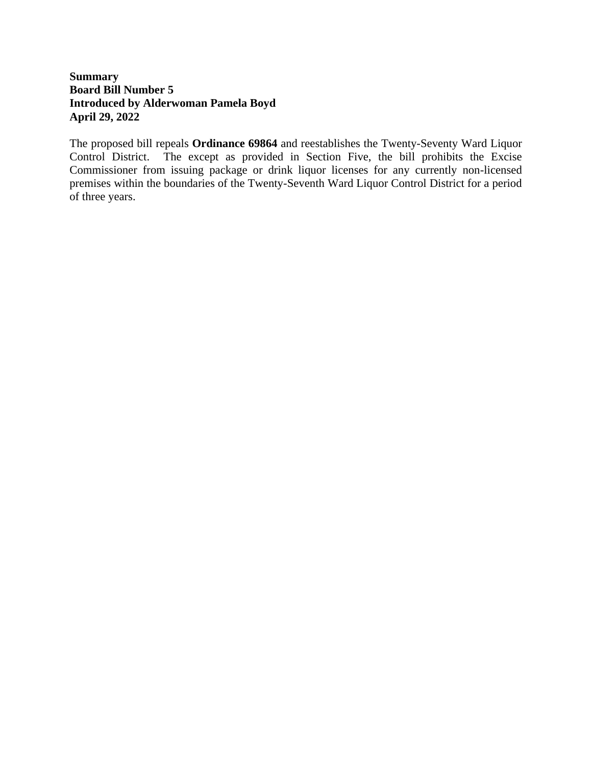## **Summary Board Bill Number 5 Introduced by Alderwoman Pamela Boyd April 29, 2022**

The proposed bill repeals **Ordinance 69864** and reestablishes the Twenty-Seventy Ward Liquor Control District. The except as provided in Section Five, the bill prohibits the Excise Commissioner from issuing package or drink liquor licenses for any currently non-licensed premises within the boundaries of the Twenty-Seventh Ward Liquor Control District for a period of three years.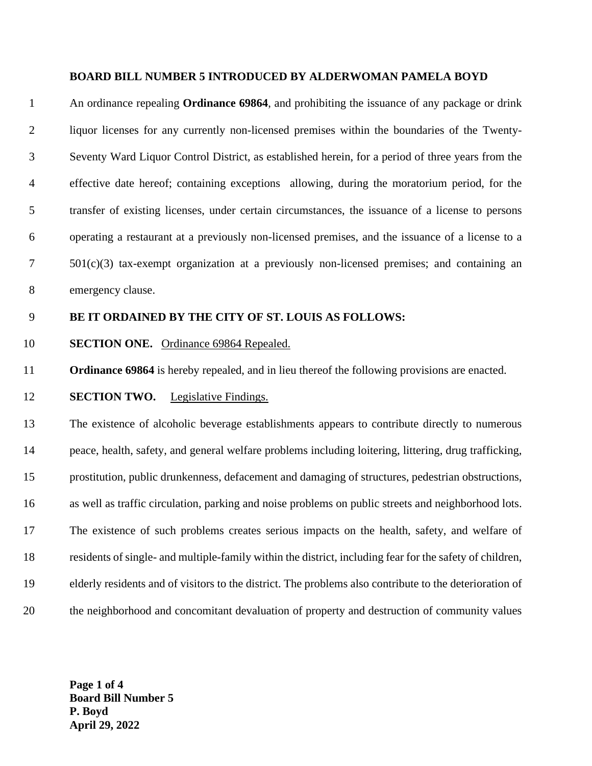#### **BOARD BILL NUMBER 5 INTRODUCED BY ALDERWOMAN PAMELA BOYD**

 An ordinance repealing **Ordinance 69864**, and prohibiting the issuance of any package or drink liquor licenses for any currently non-licensed premises within the boundaries of the Twenty- Seventy Ward Liquor Control District, as established herein, for a period of three years from the effective date hereof; containing exceptions allowing, during the moratorium period, for the transfer of existing licenses, under certain circumstances, the issuance of a license to persons operating a restaurant at a previously non-licensed premises, and the issuance of a license to a 501(c)(3) tax-exempt organization at a previously non-licensed premises; and containing an emergency clause.

## **BE IT ORDAINED BY THE CITY OF ST. LOUIS AS FOLLOWS:**

#### **SECTION ONE.** Ordinance 69864 Repealed.

**Ordinance 69864** is hereby repealed, and in lieu thereof the following provisions are enacted.

#### **SECTION TWO.** Legislative Findings.

 The existence of alcoholic beverage establishments appears to contribute directly to numerous peace, health, safety, and general welfare problems including loitering, littering, drug trafficking, prostitution, public drunkenness, defacement and damaging of structures, pedestrian obstructions, as well as traffic circulation, parking and noise problems on public streets and neighborhood lots. The existence of such problems creates serious impacts on the health, safety, and welfare of residents of single- and multiple-family within the district, including fear for the safety of children, elderly residents and of visitors to the district. The problems also contribute to the deterioration of the neighborhood and concomitant devaluation of property and destruction of community values

**Page 1 of 4 Board Bill Number 5 P. Boyd April 29, 2022**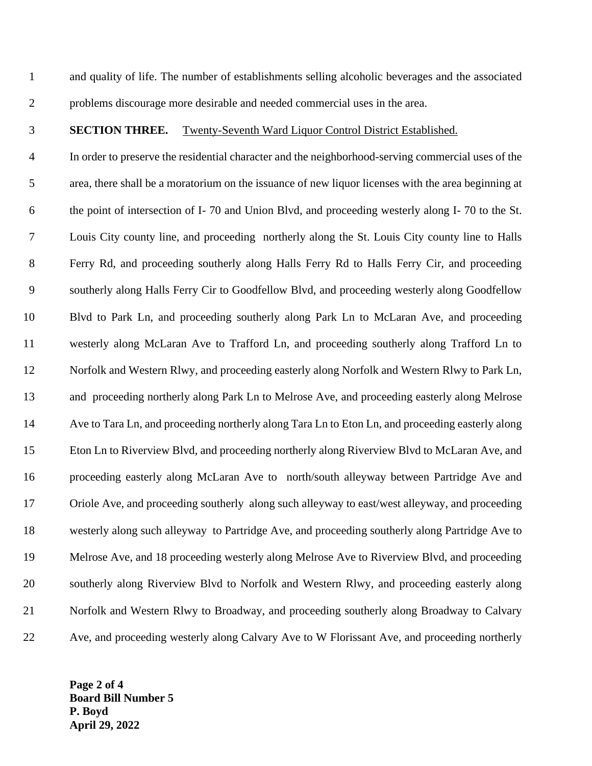and quality of life. The number of establishments selling alcoholic beverages and the associated problems discourage more desirable and needed commercial uses in the area.

### **SECTION THREE.** Twenty-Seventh Ward Liquor Control District Established.

 In order to preserve the residential character and the neighborhood-serving commercial uses of the area, there shall be a moratorium on the issuance of new liquor licenses with the area beginning at the point of intersection of I- 70 and Union Blvd, and proceeding westerly along I- 70 to the St. Louis City county line, and proceeding northerly along the St. Louis City county line to Halls Ferry Rd, and proceeding southerly along Halls Ferry Rd to Halls Ferry Cir, and proceeding southerly along Halls Ferry Cir to Goodfellow Blvd, and proceeding westerly along Goodfellow Blvd to Park Ln, and proceeding southerly along Park Ln to McLaran Ave, and proceeding westerly along McLaran Ave to Trafford Ln, and proceeding southerly along Trafford Ln to Norfolk and Western Rlwy, and proceeding easterly along Norfolk and Western Rlwy to Park Ln, and proceeding northerly along Park Ln to Melrose Ave, and proceeding easterly along Melrose Ave to Tara Ln, and proceeding northerly along Tara Ln to Eton Ln, and proceeding easterly along Eton Ln to Riverview Blvd, and proceeding northerly along Riverview Blvd to McLaran Ave, and proceeding easterly along McLaran Ave to north/south alleyway between Partridge Ave and Oriole Ave, and proceeding southerly along such alleyway to east/west alleyway, and proceeding westerly along such alleyway to Partridge Ave, and proceeding southerly along Partridge Ave to Melrose Ave, and 18 proceeding westerly along Melrose Ave to Riverview Blvd, and proceeding southerly along Riverview Blvd to Norfolk and Western Rlwy, and proceeding easterly along Norfolk and Western Rlwy to Broadway, and proceeding southerly along Broadway to Calvary Ave, and proceeding westerly along Calvary Ave to W Florissant Ave, and proceeding northerly

**Page 2 of 4 Board Bill Number 5 P. Boyd April 29, 2022**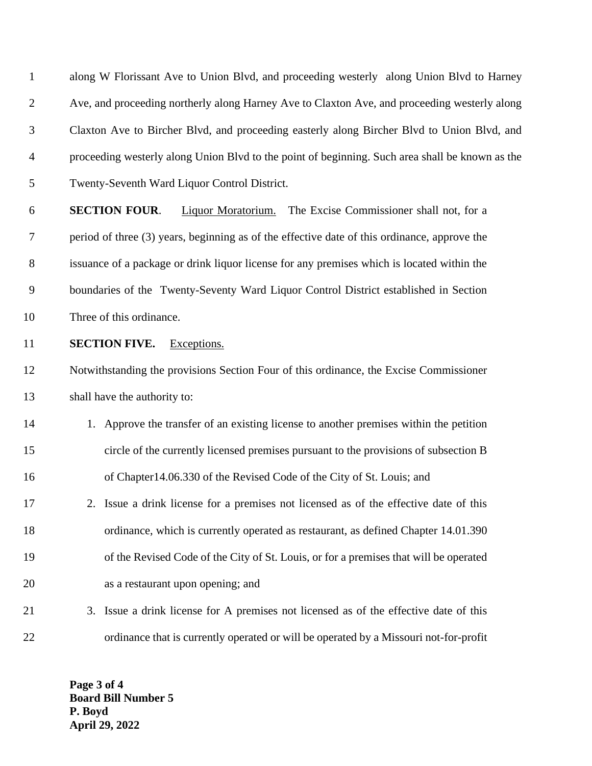along W Florissant Ave to Union Blvd, and proceeding westerly along Union Blvd to Harney Ave, and proceeding northerly along Harney Ave to Claxton Ave, and proceeding westerly along Claxton Ave to Bircher Blvd, and proceeding easterly along Bircher Blvd to Union Blvd, and proceeding westerly along Union Blvd to the point of beginning. Such area shall be known as the Twenty-Seventh Ward Liquor Control District.

 **SECTION FOUR**. Liquor Moratorium. The Excise Commissioner shall not, for a period of three (3) years, beginning as of the effective date of this ordinance, approve the issuance of a package or drink liquor license for any premises which is located within the boundaries of the Twenty-Seventy Ward Liquor Control District established in Section Three of this ordinance.

**SECTION FIVE.** Exceptions.

 Notwithstanding the provisions Section Four of this ordinance, the Excise Commissioner shall have the authority to:

- 1. Approve the transfer of an existing license to another premises within the petition circle of the currently licensed premises pursuant to the provisions of subsection B of Chapter14.06.330 of the Revised Code of the City of St. Louis; and
- 2. Issue a drink license for a premises not licensed as of the effective date of this ordinance, which is currently operated as restaurant, as defined Chapter 14.01.390 of the Revised Code of the City of St. Louis, or for a premises that will be operated as a restaurant upon opening; and
- 3. Issue a drink license for A premises not licensed as of the effective date of this 22 ordinance that is currently operated or will be operated by a Missouri not-for-profit

**Page 3 of 4 Board Bill Number 5 P. Boyd April 29, 2022**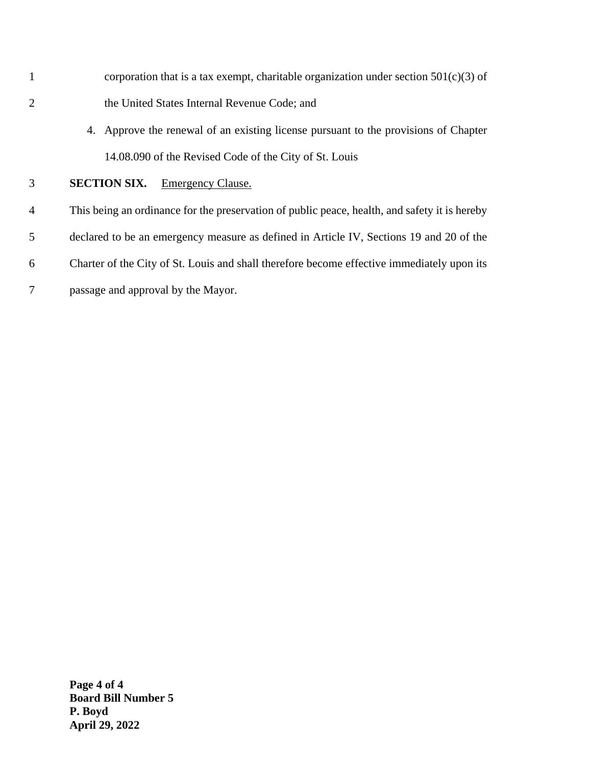- 1 corporation that is a tax exempt, charitable organization under section  $501(c)(3)$  of 2 the United States Internal Revenue Code; and
	- 4. Approve the renewal of an existing license pursuant to the provisions of Chapter 14.08.090 of the Revised Code of the City of St. Louis

## 3 **SECTION SIX.** Emergency Clause.

- 4 This being an ordinance for the preservation of public peace, health, and safety it is hereby 5 declared to be an emergency measure as defined in Article IV, Sections 19 and 20 of the
- 6 Charter of the City of St. Louis and shall therefore become effective immediately upon its
- 7 passage and approval by the Mayor.

**Page 4 of 4 Board Bill Number 5 P. Boyd April 29, 2022**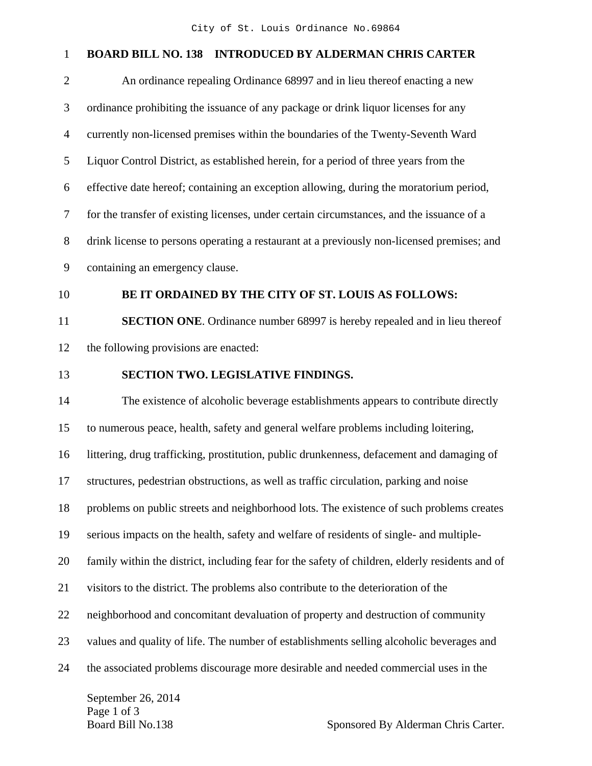# 1 **BOARD BILL NO. 138 INTRODUCED BY ALDERMAN CHRIS CARTER**

| $\overline{2}$ | An ordinance repealing Ordinance 68997 and in lieu thereof enacting a new                       |
|----------------|-------------------------------------------------------------------------------------------------|
| 3              | ordinance prohibiting the issuance of any package or drink liquor licenses for any              |
| $\overline{4}$ | currently non-licensed premises within the boundaries of the Twenty-Seventh Ward                |
| 5              | Liquor Control District, as established herein, for a period of three years from the            |
| 6              | effective date hereof; containing an exception allowing, during the moratorium period,          |
| $\overline{7}$ | for the transfer of existing licenses, under certain circumstances, and the issuance of a       |
| $8\,$          | drink license to persons operating a restaurant at a previously non-licensed premises; and      |
| 9              | containing an emergency clause.                                                                 |
| 10             | BE IT ORDAINED BY THE CITY OF ST. LOUIS AS FOLLOWS:                                             |
| 11             | SECTION ONE. Ordinance number 68997 is hereby repealed and in lieu thereof                      |
| 12             | the following provisions are enacted:                                                           |
| 13             | SECTION TWO. LEGISLATIVE FINDINGS.                                                              |
| 14             | The existence of alcoholic beverage establishments appears to contribute directly               |
| 15             | to numerous peace, health, safety and general welfare problems including loitering,             |
| 16             | littering, drug trafficking, prostitution, public drunkenness, defacement and damaging of       |
| 17             | structures, pedestrian obstructions, as well as traffic circulation, parking and noise          |
| 18             | problems on public streets and neighborhood lots. The existence of such problems creates        |
| 19             | serious impacts on the health, safety and welfare of residents of single- and multiple-         |
| 20             | family within the district, including fear for the safety of children, elderly residents and of |
| 21             | visitors to the district. The problems also contribute to the deterioration of the              |
| 22             | neighborhood and concomitant devaluation of property and destruction of community               |
| 23             | values and quality of life. The number of establishments selling alcoholic beverages and        |
| 24             | the associated problems discourage more desirable and needed commercial uses in the             |
|                | $\Gamma$ ontambon $26.2014$                                                                     |

September 26, 2014 Page 1 of 3<br>Board Bill No.138

Sponsored By Alderman Chris Carter.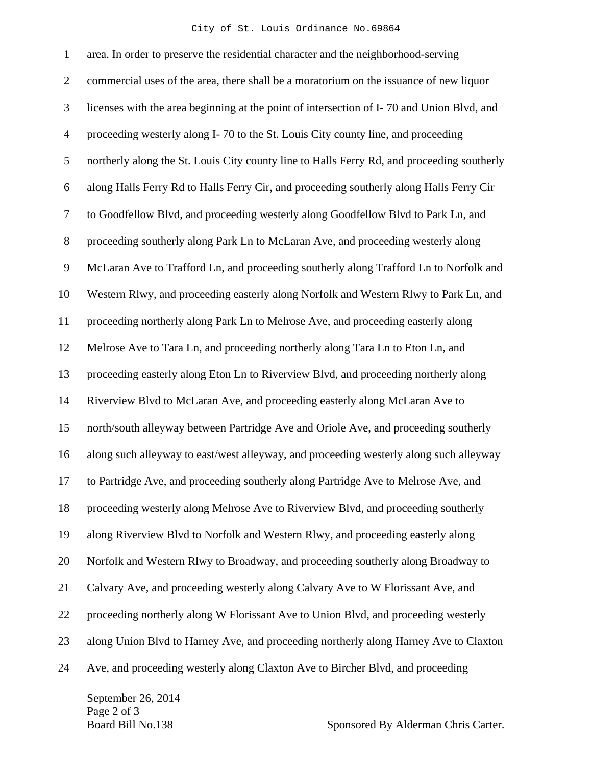#### City of St. Louis Ordinance No.69864

1 area. In order to preserve the residential character and the neighborhood-serving 2 commercial uses of the area, there shall be a moratorium on the issuance of new liquor 3 licenses with the area beginning at the point of intersection of I- 70 and Union Blvd, and 4 proceeding westerly along I- 70 to the St. Louis City county line, and proceeding 5 northerly along the St. Louis City county line to Halls Ferry Rd, and proceeding southerly 6 along Halls Ferry Rd to Halls Ferry Cir, and proceeding southerly along Halls Ferry Cir 7 to Goodfellow Blvd, and proceeding westerly along Goodfellow Blvd to Park Ln, and 8 proceeding southerly along Park Ln to McLaran Ave, and proceeding westerly along 9 McLaran Ave to Trafford Ln, and proceeding southerly along Trafford Ln to Norfolk and 10 Western Rlwy, and proceeding easterly along Norfolk and Western Rlwy to Park Ln, and 11 proceeding northerly along Park Ln to Melrose Ave, and proceeding easterly along 12 Melrose Ave to Tara Ln, and proceeding northerly along Tara Ln to Eton Ln, and 13 proceeding easterly along Eton Ln to Riverview Blvd, and proceeding northerly along 14 Riverview Blvd to McLaran Ave, and proceeding easterly along McLaran Ave to 15 north/south alleyway between Partridge Ave and Oriole Ave, and proceeding southerly 16 along such alleyway to east/west alleyway, and proceeding westerly along such alleyway 17 to Partridge Ave, and proceeding southerly along Partridge Ave to Melrose Ave, and 18 proceeding westerly along Melrose Ave to Riverview Blvd, and proceeding southerly 19 along Riverview Blvd to Norfolk and Western Rlwy, and proceeding easterly along 20 Norfolk and Western Rlwy to Broadway, and proceeding southerly along Broadway to 21 Calvary Ave, and proceeding westerly along Calvary Ave to W Florissant Ave, and 22 proceeding northerly along W Florissant Ave to Union Blvd, and proceeding westerly 23 along Union Blvd to Harney Ave, and proceeding northerly along Harney Ave to Claxton 24 Ave, and proceeding westerly along Claxton Ave to Bircher Blvd, and proceeding

September 26, 2014 Page 2 of 3

Board Bill No.138 Sponsored By Alderman Chris Carter.